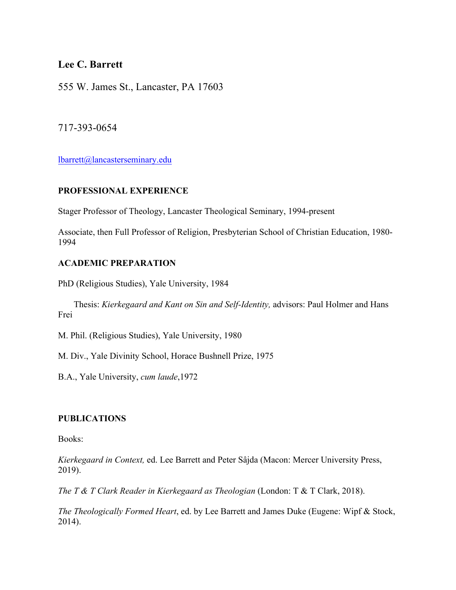# **Lee C. Barrett**

555 W. James St., Lancaster, PA 17603

717-393-0654

lbarrett@lancasterseminary.edu

## **PROFESSIONAL EXPERIENCE**

Stager Professor of Theology, Lancaster Theological Seminary, 1994-present

Associate, then Full Professor of Religion, Presbyterian School of Christian Education, 1980- 1994

## **ACADEMIC PREPARATION**

PhD (Religious Studies), Yale University, 1984

 Thesis: *Kierkegaard and Kant on Sin and Self-Identity,* advisors: Paul Holmer and Hans Frei

M. Phil. (Religious Studies), Yale University, 1980

M. Div., Yale Divinity School, Horace Bushnell Prize, 1975

B.A., Yale University, *cum laude*,1972

## **PUBLICATIONS**

Books:

*Kierkegaard in Context,* ed. Lee Barrett and Peter Sâjda (Macon: Mercer University Press, 2019).

*The T & T Clark Reader in Kierkegaard as Theologian* (London: T & T Clark, 2018).

*The Theologically Formed Heart*, ed. by Lee Barrett and James Duke (Eugene: Wipf & Stock, 2014).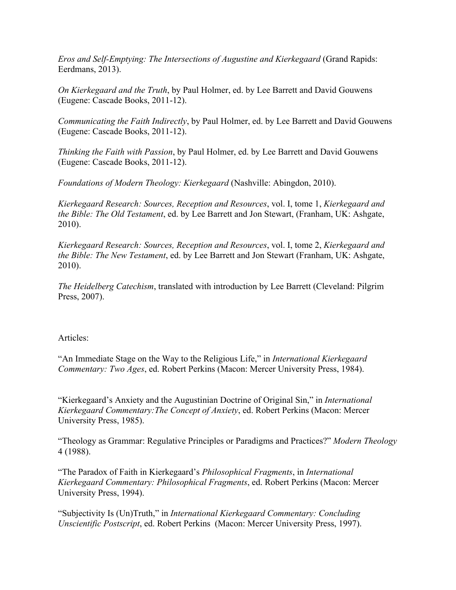*Eros and Self-Emptying: The Intersections of Augustine and Kierkegaard* (Grand Rapids: Eerdmans, 2013).

*On Kierkegaard and the Truth*, by Paul Holmer, ed. by Lee Barrett and David Gouwens (Eugene: Cascade Books, 2011-12).

*Communicating the Faith Indirectly*, by Paul Holmer, ed. by Lee Barrett and David Gouwens (Eugene: Cascade Books, 2011-12).

*Thinking the Faith with Passion*, by Paul Holmer, ed. by Lee Barrett and David Gouwens (Eugene: Cascade Books, 2011-12).

*Foundations of Modern Theology: Kierkegaard* (Nashville: Abingdon, 2010).

*Kierkegaard Research: Sources, Reception and Resources*, vol. I, tome 1, *Kierkegaard and the Bible: The Old Testament*, ed. by Lee Barrett and Jon Stewart, (Franham, UK: Ashgate, 2010).

*Kierkegaard Research: Sources, Reception and Resources*, vol. I, tome 2, *Kierkegaard and the Bible: The New Testament*, ed. by Lee Barrett and Jon Stewart (Franham, UK: Ashgate, 2010).

*The Heidelberg Catechism*, translated with introduction by Lee Barrett (Cleveland: Pilgrim Press, 2007).

### Articles:

"An Immediate Stage on the Way to the Religious Life," in *International Kierkegaard Commentary: Two Ages*, ed. Robert Perkins (Macon: Mercer University Press, 1984).

"Kierkegaard's Anxiety and the Augustinian Doctrine of Original Sin," in *International Kierkegaard Commentary:The Concept of Anxiety*, ed. Robert Perkins (Macon: Mercer University Press, 1985).

"Theology as Grammar: Regulative Principles or Paradigms and Practices?" *Modern Theology* 4 (1988).

"The Paradox of Faith in Kierkegaard's *Philosophical Fragments*, in *International Kierkegaard Commentary: Philosophical Fragments*, ed. Robert Perkins (Macon: Mercer University Press, 1994).

"Subjectivity Is (Un)Truth," in *International Kierkegaard Commentary: Concluding Unscientific Postscript*, ed. Robert Perkins (Macon: Mercer University Press, 1997).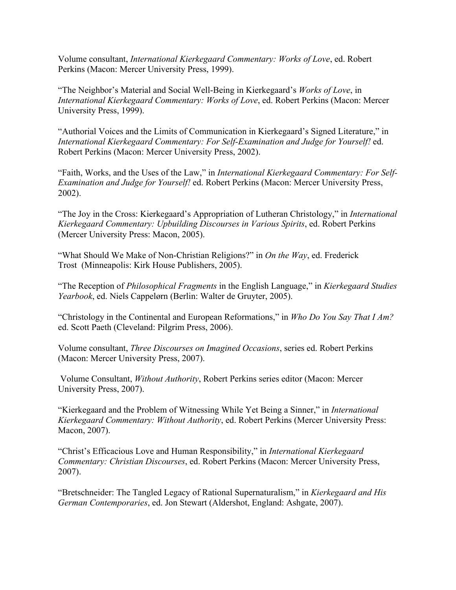Volume consultant, *International Kierkegaard Commentary: Works of Love*, ed. Robert Perkins (Macon: Mercer University Press, 1999).

"The Neighbor's Material and Social Well-Being in Kierkegaard's *Works of Love*, in *International Kierkegaard Commentary: Works of Love*, ed. Robert Perkins (Macon: Mercer University Press, 1999).

"Authorial Voices and the Limits of Communication in Kierkegaard's Signed Literature," in *International Kierkegaard Commentary: For Self-Examination and Judge for Yourself!* ed. Robert Perkins (Macon: Mercer University Press, 2002).

"Faith, Works, and the Uses of the Law," in *International Kierkegaard Commentary: For Self-Examination and Judge for Yourself!* ed. Robert Perkins (Macon: Mercer University Press, 2002).

"The Joy in the Cross: Kierkegaard's Appropriation of Lutheran Christology," in *International Kierkegaard Commentary: Upbuilding Discourses in Various Spirits*, ed. Robert Perkins (Mercer University Press: Macon, 2005).

"What Should We Make of Non-Christian Religions?" in *On the Way*, ed. Frederick Trost (Minneapolis: Kirk House Publishers, 2005).

"The Reception of *Philosophical Fragments* in the English Language," in *Kierkegaard Studies Yearbook*, ed. Niels Cappelørn (Berlin: Walter de Gruyter, 2005).

"Christology in the Continental and European Reformations," in *Who Do You Say That I Am?* ed. Scott Paeth (Cleveland: Pilgrim Press, 2006).

Volume consultant, *Three Discourses on Imagined Occasions*, series ed. Robert Perkins (Macon: Mercer University Press, 2007).

Volume Consultant, *Without Authority*, Robert Perkins series editor (Macon: Mercer University Press, 2007).

"Kierkegaard and the Problem of Witnessing While Yet Being a Sinner," in *International Kierkegaard Commentary: Without Authority*, ed. Robert Perkins (Mercer University Press: Macon, 2007).

"Christ's Efficacious Love and Human Responsibility," in *International Kierkegaard Commentary: Christian Discourses*, ed. Robert Perkins (Macon: Mercer University Press, 2007).

"Bretschneider: The Tangled Legacy of Rational Supernaturalism," in *Kierkegaard and His German Contemporaries*, ed. Jon Stewart (Aldershot, England: Ashgate, 2007).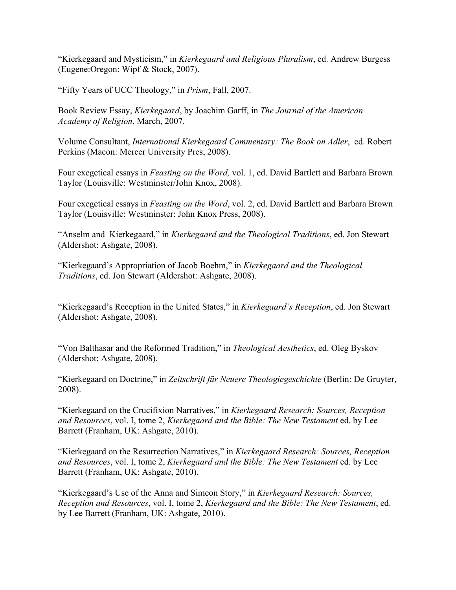"Kierkegaard and Mysticism," in *Kierkegaard and Religious Pluralism*, ed. Andrew Burgess (Eugene:Oregon: Wipf & Stock, 2007).

"Fifty Years of UCC Theology," in *Prism*, Fall, 2007.

Book Review Essay, *Kierkegaard*, by Joachim Garff, in *The Journal of the American Academy of Religion*, March, 2007.

Volume Consultant, *International Kierkegaard Commentary: The Book on Adler*, ed. Robert Perkins (Macon: Mercer University Pres, 2008).

Four exegetical essays in *Feasting on the Word,* vol. 1, ed. David Bartlett and Barbara Brown Taylor (Louisville: Westminster/John Knox, 2008).

Four exegetical essays in *Feasting on the Word*, vol. 2, ed. David Bartlett and Barbara Brown Taylor (Louisville: Westminster: John Knox Press, 2008).

"Anselm and Kierkegaard," in *Kierkegaard and the Theological Traditions*, ed. Jon Stewart (Aldershot: Ashgate, 2008).

"Kierkegaard's Appropriation of Jacob Boehm," in *Kierkegaard and the Theological Traditions*, ed. Jon Stewart (Aldershot: Ashgate, 2008).

"Kierkegaard's Reception in the United States," in *Kierkegaard's Reception*, ed. Jon Stewart (Aldershot: Ashgate, 2008).

"Von Balthasar and the Reformed Tradition," in *Theological Aesthetics*, ed. Oleg Byskov (Aldershot: Ashgate, 2008).

"Kierkegaard on Doctrine," in *Zeitschrift für Neuere Theologiegeschichte* (Berlin: De Gruyter, 2008).

"Kierkegaard on the Crucifixion Narratives," in *Kierkegaard Research: Sources, Reception and Resources*, vol. I, tome 2, *Kierkegaard and the Bible: The New Testament* ed. by Lee Barrett (Franham, UK: Ashgate, 2010).

"Kierkegaard on the Resurrection Narratives," in *Kierkegaard Research: Sources, Reception and Resources*, vol. I, tome 2, *Kierkegaard and the Bible: The New Testament* ed. by Lee Barrett (Franham, UK: Ashgate, 2010).

"Kierkegaard's Use of the Anna and Simeon Story," in *Kierkegaard Research: Sources, Reception and Resources*, vol. I, tome 2, *Kierkegaard and the Bible: The New Testament*, ed. by Lee Barrett (Franham, UK: Ashgate, 2010).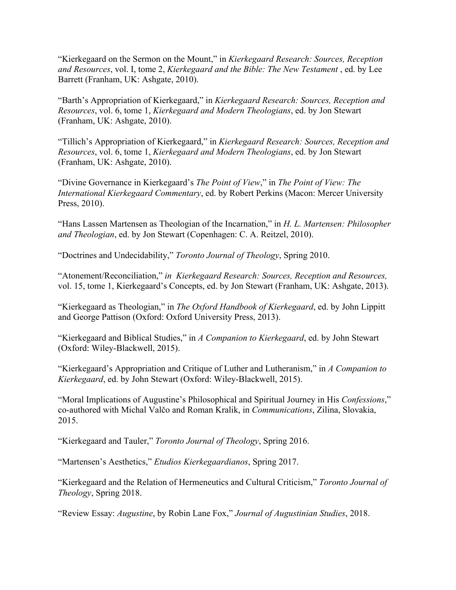"Kierkegaard on the Sermon on the Mount," in *Kierkegaard Research: Sources, Reception and Resources*, vol. I, tome 2, *Kierkegaard and the Bible: The New Testament* , ed. by Lee Barrett (Franham, UK: Ashgate, 2010).

"Barth's Appropriation of Kierkegaard," in *Kierkegaard Research: Sources, Reception and Resources*, vol. 6, tome 1, *Kierkegaard and Modern Theologians*, ed. by Jon Stewart (Franham, UK: Ashgate, 2010).

"Tillich's Appropriation of Kierkegaard," in *Kierkegaard Research: Sources, Reception and Resources*, vol. 6, tome 1, *Kierkegaard and Modern Theologians*, ed. by Jon Stewart (Franham, UK: Ashgate, 2010).

"Divine Governance in Kierkegaard's *The Point of View*," in *The Point of View: The International Kierkegaard Commentary*, ed. by Robert Perkins (Macon: Mercer University Press, 2010).

"Hans Lassen Martensen as Theologian of the Incarnation," in *H. L. Martensen: Philosopher and Theologian*, ed. by Jon Stewart (Copenhagen: C. A. Reitzel, 2010).

"Doctrines and Undecidability," *Toronto Journal of Theology*, Spring 2010.

"Atonement/Reconciliation," *in Kierkegaard Research: Sources, Reception and Resources,*  vol. 15, tome 1, Kierkegaard's Concepts, ed. by Jon Stewart (Franham, UK: Ashgate, 2013).

"Kierkegaard as Theologian," in *The Oxford Handbook of Kierkegaard*, ed. by John Lippitt and George Pattison (Oxford: Oxford University Press, 2013).

"Kierkegaard and Biblical Studies," in *A Companion to Kierkegaard*, ed. by John Stewart (Oxford: Wiley-Blackwell, 2015).

"Kierkegaard's Appropriation and Critique of Luther and Lutheranism," in *A Companion to Kierkegaard*, ed. by John Stewart (Oxford: Wiley-Blackwell, 2015).

"Moral Implications of Augustine's Philosophical and Spiritual Journey in His *Confessions*," co-authored with Michal Valčo and Roman Kralik, in *Communications*, Zilina, Slovakia, 2015.

"Kierkegaard and Tauler," *Toronto Journal of Theology*, Spring 2016.

"Martensen's Aesthetics," *Etudios Kierkegaardianos*, Spring 2017.

"Kierkegaard and the Relation of Hermeneutics and Cultural Criticism," *Toronto Journal of Theology*, Spring 2018.

"Review Essay: *Augustine*, by Robin Lane Fox," *Journal of Augustinian Studies*, 2018.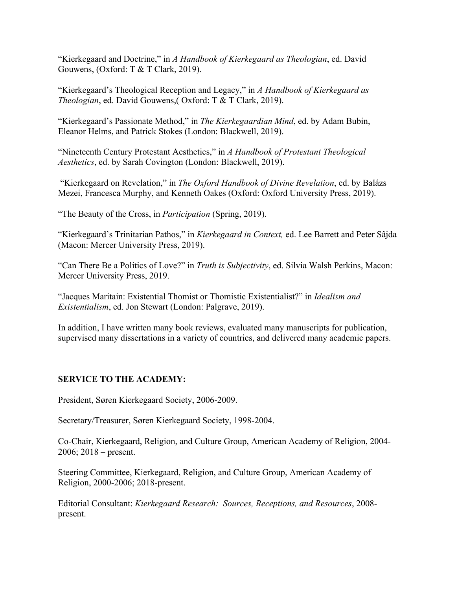"Kierkegaard and Doctrine," in *A Handbook of Kierkegaard as Theologian*, ed. David Gouwens, (Oxford: T & T Clark, 2019).

"Kierkegaard's Theological Reception and Legacy," in *A Handbook of Kierkegaard as Theologian*, ed. David Gouwens,( Oxford: T & T Clark, 2019).

"Kierkegaard's Passionate Method," in *The Kierkegaardian Mind*, ed. by Adam Bubin, Eleanor Helms, and Patrick Stokes (London: Blackwell, 2019).

"Nineteenth Century Protestant Aesthetics," in *A Handbook of Protestant Theological Aesthetics*, ed. by Sarah Covington (London: Blackwell, 2019).

"Kierkegaard on Revelation," in *The Oxford Handbook of Divine Revelation*, ed. by Balázs Mezei, Francesca Murphy, and Kenneth Oakes (Oxford: Oxford University Press, 2019).

"The Beauty of the Cross, in *Participation* (Spring, 2019).

"Kierkegaard's Trinitarian Pathos," in *Kierkegaard in Context,* ed. Lee Barrett and Peter Sâjda (Macon: Mercer University Press, 2019).

"Can There Be a Politics of Love?" in *Truth is Subjectivity*, ed. Silvia Walsh Perkins, Macon: Mercer University Press, 2019.

"Jacques Maritain: Existential Thomist or Thomistic Existentialist?" in *Idealism and Existentialism*, ed. Jon Stewart (London: Palgrave, 2019).

In addition, I have written many book reviews, evaluated many manuscripts for publication, supervised many dissertations in a variety of countries, and delivered many academic papers.

### **SERVICE TO THE ACADEMY:**

President, Søren Kierkegaard Society, 2006-2009.

Secretary/Treasurer, Søren Kierkegaard Society, 1998-2004.

Co-Chair, Kierkegaard, Religion, and Culture Group, American Academy of Religion, 2004- 2006; 2018 – present.

Steering Committee, Kierkegaard, Religion, and Culture Group, American Academy of Religion, 2000-2006; 2018-present.

Editorial Consultant: *Kierkegaard Research: Sources, Receptions, and Resources*, 2008 present.